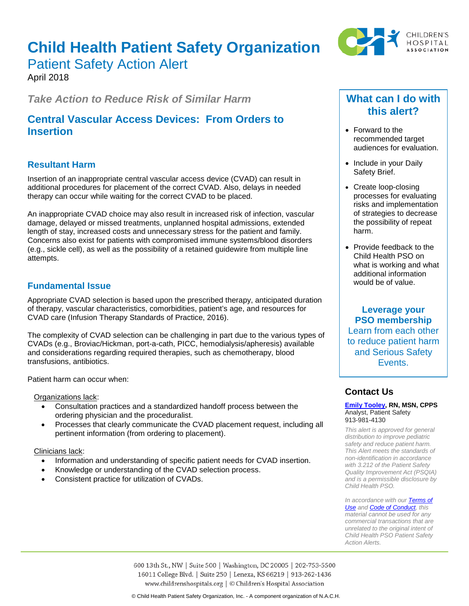# **Child Health Patient Safety Organization**



## Patient Safety Action Alert

April 2018

*Take Action to Reduce Risk of Similar Harm*

## **Central Vascular Access Devices: From Orders to Insertion**

## **Resultant Harm**

Insertion of an inappropriate central vascular access device (CVAD) can result in additional procedures for placement of the correct CVAD. Also, delays in needed therapy can occur while waiting for the correct CVAD to be placed.

An inappropriate CVAD choice may also result in increased risk of infection, vascular damage, delayed or missed treatments, unplanned hospital admissions, extended length of stay, increased costs and unnecessary stress for the patient and family. Concerns also exist for patients with compromised immune systems/blood disorders (e.g., sickle cell), as well as the possibility of a retained guidewire from multiple line attempts.

## **Fundamental Issue**

Appropriate CVAD selection is based upon the prescribed therapy, anticipated duration of therapy, vascular characteristics, comorbidities, patient's age, and resources for CVAD care (Infusion Therapy Standards of Practice, 2016).

The complexity of CVAD selection can be challenging in part due to the various types of CVADs (e.g., Broviac/Hickman, port-a-cath, PICC, hemodialysis/apheresis) available and considerations regarding required therapies, such as chemotherapy, blood transfusions, antibiotics.

Patient harm can occur when:

Organizations lack:

- Consultation practices and a standardized handoff process between the ordering physician and the proceduralist.
- Processes that clearly communicate the CVAD placement request, including all pertinent information (from ordering to placement).

Clinicians lack:

- Information and understanding of specific patient needs for CVAD insertion.
- Knowledge or understanding of the CVAD selection process.
- Consistent practice for utilization of CVADs.

## **What can I do with this alert?**

- Forward to the recommended target audiences for evaluation.
- Include in your Daily Safety Brief.
- Create loop-closing processes for evaluating risks and implementation of strategies to decrease the possibility of repeat harm.
- Provide feedback to the Child Health PSO on what is working and what additional information would be of value.

**Leverage your PSO membership** Learn from each other to reduce patient harm and Serious Safety Events.

## **Contact Us**

#### **[Emily Tooley,](mailto:emily.tooley@childrenshospitals.org) RN, MSN, CPPS** Analyst, Patient Safety 913-981-4130

*This alert is approved for general distribution to improve pediatric safety and reduce patient harm. This Alert meets the standards of non-identification in accordance with 3.212 of the Patient Safety Quality Improvement Act (PSQIA) and is a permissible disclosure by Child Health PSO.*

*In accordance with ou[r Terms of](https://www.childrenshospitals.org/Terms-of-Use)  [Use](https://www.childrenshospitals.org/Terms-of-Use) an[d Code of Conduct,](https://www.childrenshospitals.org/Code-of-Conduct) this material cannot be used for any commercial transactions that are unrelated to the original intent of Child Health PSO Patient Safety Action Alerts.*

600 13th St., NW | Suite 500 | Washington, DC 20005 | 202-753-5500 16011 College Blvd. | Suite 250 | Lenexa, KS 66219 | 913-262-1436 www.childrenshospitals.org | © Children's Hospital Association